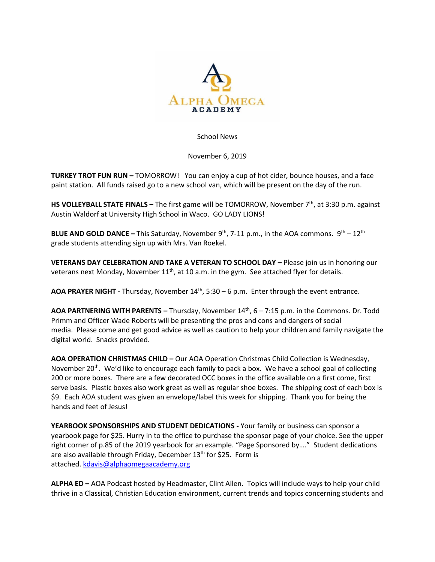

## School News

November 6, 2019

**TURKEY TROT FUN RUN –** TOMORROW! You can enjoy a cup of hot cider, bounce houses, and a face paint station. All funds raised go to a new school van, which will be present on the day of the run.

**HS VOLLEYBALL STATE FINALS –** The first game will be TOMORROW, November 7th, at 3:30 p.m. against Austin Waldorf at University High School in Waco. GO LADY LIONS!

**BLUE AND GOLD DANCE –** This Saturday, November 9<sup>th</sup>, 7-11 p.m., in the AOA commons. 9<sup>th</sup> – 12<sup>th</sup> grade students attending sign up with Mrs. Van Roekel.

**VETERANS DAY CELEBRATION AND TAKE A VETERAN TO SCHOOL DAY –** Please join us in honoring our veterans next Monday, November  $11<sup>th</sup>$ , at 10 a.m. in the gym. See attached flyer for details.

AOA PRAYER NIGHT - Thursday, November 14<sup>th</sup>, 5:30 - 6 p.m. Enter through the event entrance.

**AOA PARTNERING WITH PARENTS –** Thursday, November 14th, 6 – 7:15 p.m. in the Commons. Dr. Todd Primm and Officer Wade Roberts will be presenting the pros and cons and dangers of social media. Please come and get good advice as well as caution to help your children and family navigate the digital world. Snacks provided.

**AOA OPERATION CHRISTMAS CHILD –** Our AOA Operation Christmas Child Collection is Wednesday, November 20<sup>th</sup>. We'd like to encourage each family to pack a box. We have a school goal of collecting 200 or more boxes. There are a few decorated OCC boxes in the office available on a first come, first serve basis. Plastic boxes also work great as well as regular shoe boxes. The shipping cost of each box is \$9. Each AOA student was given an envelope/label this week for shipping. Thank you for being the hands and feet of Jesus!

**YEARBOOK SPONSORSHIPS AND STUDENT DEDICATIONS -** Your family or business can sponsor a yearbook page for \$25. Hurry in to the office to purchase the sponsor page of your choice. See the upper right corner of p.85 of the 2019 yearbook for an example. "Page Sponsored by…." Student dedications are also available through Friday, December 13<sup>th</sup> for \$25. Form is attached. [kdavis@alphaomegaacademy.org](mailto:kdavis@alphaomegaacademy.org)

**ALPHA ED –** AOA Podcast hosted by Headmaster, Clint Allen. Topics will include ways to help your child thrive in a Classical, Christian Education environment, current trends and topics concerning students and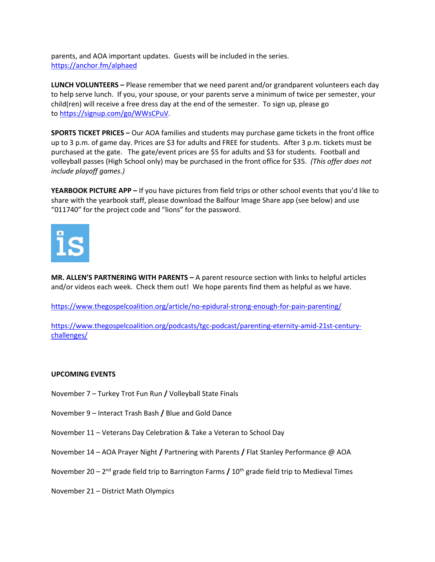parents, and AOA important updates. Guests will be included in the series. <https://anchor.fm/alphaed>

**LUNCH VOLUNTEERS –** Please remember that we need parent and/or grandparent volunteers each day to help serve lunch. If you, your spouse, or your parents serve a minimum of twice per semester, your child(ren) will receive a free dress day at the end of the semester. To sign up, please go to [https://signup.com/go/WWsCPuV.](https://signup.com/go/WWsCPuV)

**SPORTS TICKET PRICES –** Our AOA families and students may purchase game tickets in the front office up to 3 p.m. of game day. Prices are \$3 for adults and FREE for students. After 3 p.m. tickets must be purchased at the gate. The gate/event prices are \$5 for adults and \$3 for students. Football and volleyball passes (High School only) may be purchased in the front office for \$35. *(This offer does not include playoff games.)*

**YEARBOOK PICTURE APP –** If you have pictures from field trips or other school events that you'd like to share with the yearbook staff, please download the Balfour Image Share app (see below) and use "011740" for the project code and "lions" for the password.



**MR. ALLEN'S PARTNERING WITH PARENTS –** A parent resource section with links to helpful articles and/or videos each week. Check them out! We hope parents find them as helpful as we have.

<https://www.thegospelcoalition.org/article/no-epidural-strong-enough-for-pain-parenting/>

[https://www.thegospelcoalition.org/podcasts/tgc-podcast/parenting-eternity-amid-21st-century](https://www.thegospelcoalition.org/podcasts/tgc-podcast/parenting-eternity-amid-21st-century-challenges/)[challenges/](https://www.thegospelcoalition.org/podcasts/tgc-podcast/parenting-eternity-amid-21st-century-challenges/)

## **UPCOMING EVENTS**

- November 7 Turkey Trot Fun Run **/** Volleyball State Finals
- November 9 Interact Trash Bash **/** Blue and Gold Dance
- November 11 Veterans Day Celebration & Take a Veteran to School Day
- November 14 AOA Prayer Night **/** Partnering with Parents **/** Flat Stanley Performance @ AOA
- November 20 2<sup>nd</sup> grade field trip to Barrington Farms **/** 10<sup>th</sup> grade field trip to Medieval Times
- November 21 District Math Olympics